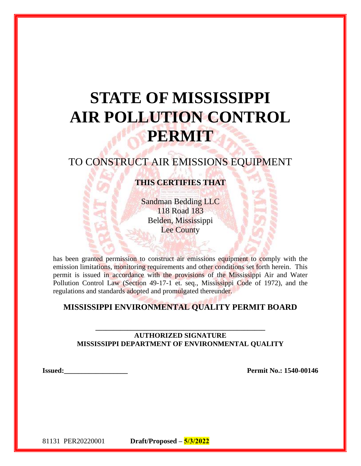# **STATE OF MISSISSIPPI AIR POLLUTION CONTROL PERMIT**

# TO CONSTRUCT AIR EMISSIONS EQUIPMENT

# **THIS CERTIFIES THAT**

Sandman Bedding LLC 118 Road 183 Belden, Mississippi Lee County

has been granted permission to construct air emissions equipment to comply with the emission limitations, monitoring requirements and other conditions set forth herein. This permit is issued in accordance with the provisions of the Mississippi Air and Water Pollution Control Law (Section 49-17-1 et. seq., Mississippi Code of 1972), and the regulations and standards adopted and promulgated thereunder.

## **MISSISSIPPI ENVIRONMENTAL QUALITY PERMIT BOARD**

#### **AUTHORIZED SIGNATURE MISSISSIPPI DEPARTMENT OF ENVIRONMENTAL QUALITY**

**\_\_\_\_\_\_\_\_\_\_\_\_\_\_\_\_\_\_\_\_\_\_\_\_\_\_\_\_\_\_\_\_\_\_\_\_\_\_\_\_\_\_\_\_\_\_\_\_**

**Issued:\_\_\_\_\_\_\_\_\_\_\_\_\_\_\_\_\_\_ Permit No.: 1540-00146**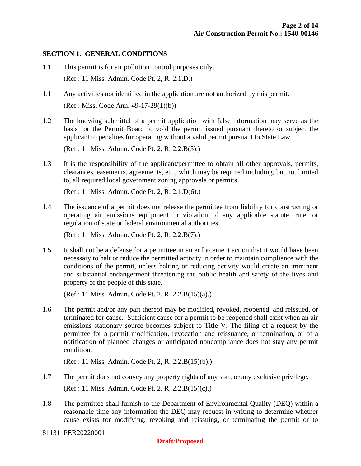#### **SECTION 1. GENERAL CONDITIONS**

- 1.1 This permit is for air pollution control purposes only. (Ref.: 11 Miss. Admin. Code Pt. 2, R. 2.1.D.)
- 1.1 Any activities not identified in the application are not authorized by this permit. (Ref.: Miss. Code Ann. 49-17-29(1)(b))
- 1.2 The knowing submittal of a permit application with false information may serve as the basis for the Permit Board to void the permit issued pursuant thereto or subject the applicant to penalties for operating without a valid permit pursuant to State Law.

(Ref.: 11 Miss. Admin. Code Pt. 2, R. 2.2.B(5).)

1.3 It is the responsibility of the applicant/permittee to obtain all other approvals, permits, clearances, easements, agreements, etc., which may be required including, but not limited to, all required local government zoning approvals or permits.

(Ref.: 11 Miss. Admin. Code Pt. 2, R. 2.1.D(6).)

1.4 The issuance of a permit does not release the permittee from liability for constructing or operating air emissions equipment in violation of any applicable statute, rule, or regulation of state or federal environmental authorities.

(Ref.: 11 Miss. Admin. Code Pt. 2, R. 2.2.B(7).)

1.5 It shall not be a defense for a permittee in an enforcement action that it would have been necessary to halt or reduce the permitted activity in order to maintain compliance with the conditions of the permit, unless halting or reducing activity would create an imminent and substantial endangerment threatening the public health and safety of the lives and property of the people of this state.

(Ref.: 11 Miss. Admin. Code Pt. 2, R. 2.2.B(15)(a).)

1.6 The permit and/or any part thereof may be modified, revoked, reopened, and reissued, or terminated for cause. Sufficient cause for a permit to be reopened shall exist when an air emissions stationary source becomes subject to Title V. The filing of a request by the permittee for a permit modification, revocation and reissuance, or termination, or of a notification of planned changes or anticipated noncompliance does not stay any permit condition.

(Ref.: 11 Miss. Admin. Code Pt. 2, R. 2.2.B(15)(b).)

- 1.7 The permit does not convey any property rights of any sort, or any exclusive privilege. (Ref.: 11 Miss. Admin. Code Pt. 2, R. 2.2.B(15)(c).)
- 1.8 The permittee shall furnish to the Department of Environmental Quality (DEQ) within a reasonable time any information the DEQ may request in writing to determine whether cause exists for modifying, revoking and reissuing, or terminating the permit or to
- 81131 PER20220001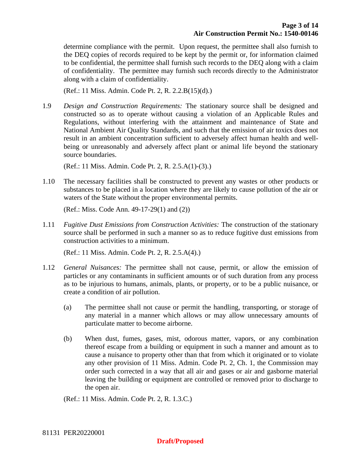determine compliance with the permit. Upon request, the permittee shall also furnish to the DEQ copies of records required to be kept by the permit or, for information claimed to be confidential, the permittee shall furnish such records to the DEQ along with a claim of confidentiality. The permittee may furnish such records directly to the Administrator along with a claim of confidentiality.

(Ref.: 11 Miss. Admin. Code Pt. 2, R. 2.2.B(15)(d).)

1.9 *Design and Construction Requirements:* The stationary source shall be designed and constructed so as to operate without causing a violation of an Applicable Rules and Regulations, without interfering with the attainment and maintenance of State and National Ambient Air Quality Standards, and such that the emission of air toxics does not result in an ambient concentration sufficient to adversely affect human health and wellbeing or unreasonably and adversely affect plant or animal life beyond the stationary source boundaries.

(Ref.: 11 Miss. Admin. Code Pt. 2, R. 2.5.A(1)-(3).)

1.10 The necessary facilities shall be constructed to prevent any wastes or other products or substances to be placed in a location where they are likely to cause pollution of the air or waters of the State without the proper environmental permits.

(Ref.: Miss. Code Ann. 49-17-29(1) and (2))

1.11 *Fugitive Dust Emissions from Construction Activities:* The construction of the stationary source shall be performed in such a manner so as to reduce fugitive dust emissions from construction activities to a minimum.

(Ref.: 11 Miss. Admin. Code Pt. 2, R. 2.5.A(4).)

- 1.12 *General Nuisances:* The permittee shall not cause, permit, or allow the emission of particles or any contaminants in sufficient amounts or of such duration from any process as to be injurious to humans, animals, plants, or property, or to be a public nuisance, or create a condition of air pollution.
	- (a) The permittee shall not cause or permit the handling, transporting, or storage of any material in a manner which allows or may allow unnecessary amounts of particulate matter to become airborne.
	- (b) When dust, fumes, gases, mist, odorous matter, vapors, or any combination thereof escape from a building or equipment in such a manner and amount as to cause a nuisance to property other than that from which it originated or to violate any other provision of 11 Miss. Admin. Code Pt. 2, Ch. 1, the Commission may order such corrected in a way that all air and gases or air and gasborne material leaving the building or equipment are controlled or removed prior to discharge to the open air.

(Ref.: 11 Miss. Admin. Code Pt. 2, R. 1.3.C.)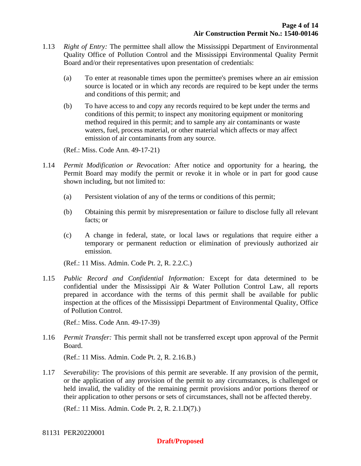- 1.13 *Right of Entry:* The permittee shall allow the Mississippi Department of Environmental Quality Office of Pollution Control and the Mississippi Environmental Quality Permit Board and/or their representatives upon presentation of credentials:
	- (a) To enter at reasonable times upon the permittee's premises where an air emission source is located or in which any records are required to be kept under the terms and conditions of this permit; and
	- (b) To have access to and copy any records required to be kept under the terms and conditions of this permit; to inspect any monitoring equipment or monitoring method required in this permit; and to sample any air contaminants or waste waters, fuel, process material, or other material which affects or may affect emission of air contaminants from any source.

(Ref.: Miss. Code Ann. 49-17-21)

- 1.14 *Permit Modification or Revocation:* After notice and opportunity for a hearing, the Permit Board may modify the permit or revoke it in whole or in part for good cause shown including, but not limited to:
	- (a) Persistent violation of any of the terms or conditions of this permit;
	- (b) Obtaining this permit by misrepresentation or failure to disclose fully all relevant facts; or
	- (c) A change in federal, state, or local laws or regulations that require either a temporary or permanent reduction or elimination of previously authorized air emission.

(Ref.: 11 Miss. Admin. Code Pt. 2, R. 2.2.C.)

1.15 *Public Record and Confidential Information:* Except for data determined to be confidential under the Mississippi Air & Water Pollution Control Law, all reports prepared in accordance with the terms of this permit shall be available for public inspection at the offices of the Mississippi Department of Environmental Quality, Office of Pollution Control.

(Ref.: Miss. Code Ann. 49-17-39)

1.16 *Permit Transfer:* This permit shall not be transferred except upon approval of the Permit Board.

(Ref.: 11 Miss. Admin. Code Pt. 2, R. 2.16.B.)

1.17 *Severability:* The provisions of this permit are severable. If any provision of the permit, or the application of any provision of the permit to any circumstances, is challenged or held invalid, the validity of the remaining permit provisions and/or portions thereof or their application to other persons or sets of circumstances, shall not be affected thereby.

(Ref.: 11 Miss. Admin. Code Pt. 2, R. 2.1.D(7).)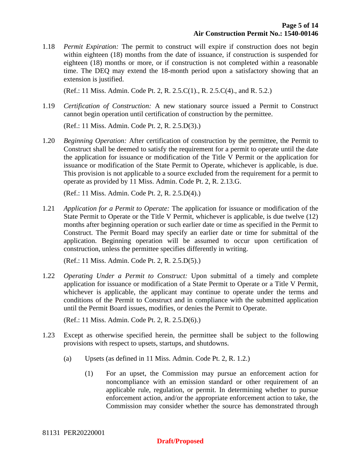1.18 *Permit Expiration:* The permit to construct will expire if construction does not begin within eighteen (18) months from the date of issuance, if construction is suspended for eighteen (18) months or more, or if construction is not completed within a reasonable time. The DEQ may extend the 18-month period upon a satisfactory showing that an extension is justified.

(Ref.: 11 Miss. Admin. Code Pt. 2, R. 2.5.C(1)., R. 2.5.C(4)., and R. 5.2.)

1.19 *Certification of Construction:* A new stationary source issued a Permit to Construct cannot begin operation until certification of construction by the permittee.

(Ref.: 11 Miss. Admin. Code Pt. 2, R. 2.5.D(3).)

1.20 *Beginning Operation:* After certification of construction by the permittee, the Permit to Construct shall be deemed to satisfy the requirement for a permit to operate until the date the application for issuance or modification of the Title V Permit or the application for issuance or modification of the State Permit to Operate, whichever is applicable, is due. This provision is not applicable to a source excluded from the requirement for a permit to operate as provided by 11 Miss. Admin. Code Pt. 2, R. 2.13.G.

(Ref.: 11 Miss. Admin. Code Pt. 2, R. 2.5.D(4).)

1.21 *Application for a Permit to Operate:* The application for issuance or modification of the State Permit to Operate or the Title V Permit, whichever is applicable, is due twelve (12) months after beginning operation or such earlier date or time as specified in the Permit to Construct. The Permit Board may specify an earlier date or time for submittal of the application. Beginning operation will be assumed to occur upon certification of construction, unless the permittee specifies differently in writing.

(Ref.: 11 Miss. Admin. Code Pt. 2, R. 2.5.D(5).)

1.22 *Operating Under a Permit to Construct:* Upon submittal of a timely and complete application for issuance or modification of a State Permit to Operate or a Title V Permit, whichever is applicable, the applicant may continue to operate under the terms and conditions of the Permit to Construct and in compliance with the submitted application until the Permit Board issues, modifies, or denies the Permit to Operate.

(Ref.: 11 Miss. Admin. Code Pt. 2, R. 2.5.D(6).)

- 1.23 Except as otherwise specified herein, the permittee shall be subject to the following provisions with respect to upsets, startups, and shutdowns.
	- (a) Upsets (as defined in 11 Miss. Admin. Code Pt. 2, R. 1.2.)
		- (1) For an upset, the Commission may pursue an enforcement action for noncompliance with an emission standard or other requirement of an applicable rule, regulation, or permit. In determining whether to pursue enforcement action, and/or the appropriate enforcement action to take, the Commission may consider whether the source has demonstrated through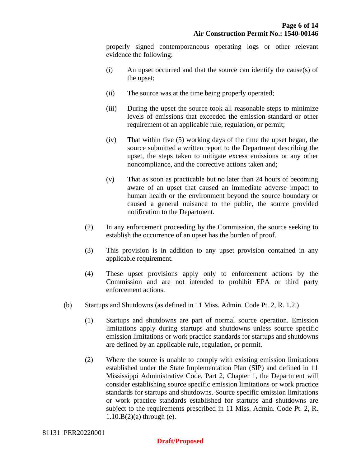properly signed contemporaneous operating logs or other relevant evidence the following:

- (i) An upset occurred and that the source can identify the cause(s) of the upset;
- (ii) The source was at the time being properly operated;
- (iii) During the upset the source took all reasonable steps to minimize levels of emissions that exceeded the emission standard or other requirement of an applicable rule, regulation, or permit;
- (iv) That within five (5) working days of the time the upset began, the source submitted a written report to the Department describing the upset, the steps taken to mitigate excess emissions or any other noncompliance, and the corrective actions taken and;
- (v) That as soon as practicable but no later than 24 hours of becoming aware of an upset that caused an immediate adverse impact to human health or the environment beyond the source boundary or caused a general nuisance to the public, the source provided notification to the Department.
- (2) In any enforcement proceeding by the Commission, the source seeking to establish the occurrence of an upset has the burden of proof.
- (3) This provision is in addition to any upset provision contained in any applicable requirement.
- (4) These upset provisions apply only to enforcement actions by the Commission and are not intended to prohibit EPA or third party enforcement actions.
- (b) Startups and Shutdowns (as defined in 11 Miss. Admin. Code Pt. 2, R. 1.2.)
	- (1) Startups and shutdowns are part of normal source operation. Emission limitations apply during startups and shutdowns unless source specific emission limitations or work practice standards for startups and shutdowns are defined by an applicable rule, regulation, or permit.
	- (2) Where the source is unable to comply with existing emission limitations established under the State Implementation Plan (SIP) and defined in 11 Mississippi Administrative Code, Part 2, Chapter 1, the Department will consider establishing source specific emission limitations or work practice standards for startups and shutdowns. Source specific emission limitations or work practice standards established for startups and shutdowns are subject to the requirements prescribed in 11 Miss. Admin. Code Pt. 2, R.  $1.10.B(2)$ (a) through (e).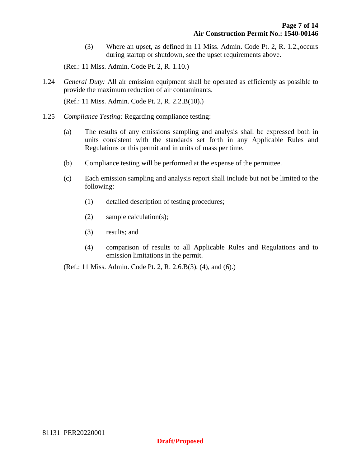(3) Where an upset, as defined in 11 Miss. Admin. Code Pt. 2, R. 1.2.,occurs during startup or shutdown, see the upset requirements above.

(Ref.: 11 Miss. Admin. Code Pt. 2, R. 1.10.)

1.24 *General Duty:* All air emission equipment shall be operated as efficiently as possible to provide the maximum reduction of air contaminants.

(Ref.: 11 Miss. Admin. Code Pt. 2, R. 2.2.B(10).)

- 1.25 *Compliance Testing:* Regarding compliance testing:
	- (a) The results of any emissions sampling and analysis shall be expressed both in units consistent with the standards set forth in any Applicable Rules and Regulations or this permit and in units of mass per time.
	- (b) Compliance testing will be performed at the expense of the permittee.
	- (c) Each emission sampling and analysis report shall include but not be limited to the following:
		- (1) detailed description of testing procedures;
		- (2) sample calculation(s);
		- (3) results; and
		- (4) comparison of results to all Applicable Rules and Regulations and to emission limitations in the permit.

(Ref.: 11 Miss. Admin. Code Pt. 2, R. 2.6.B(3), (4), and (6).)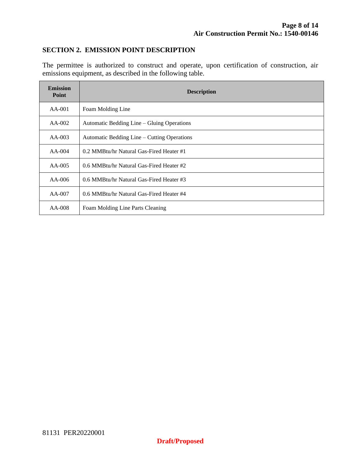#### **SECTION 2. EMISSION POINT DESCRIPTION**

The permittee is authorized to construct and operate, upon certification of construction, air emissions equipment, as described in the following table.

| <b>Emission</b><br><b>Point</b> | <b>Description</b>                          |  |
|---------------------------------|---------------------------------------------|--|
| $AA-001$                        | Foam Molding Line                           |  |
| $AA-002$                        | Automatic Bedding Line – Gluing Operations  |  |
| $AA-003$                        | Automatic Bedding Line – Cutting Operations |  |
| $AA-004$                        | 0.2 MMBtu/hr Natural Gas-Fired Heater #1    |  |
| $AA-005$                        | 0.6 MMBtu/hr Natural Gas-Fired Heater #2    |  |
| AA-006                          | 0.6 MMBtu/hr Natural Gas-Fired Heater #3    |  |
| $AA-007$                        | 0.6 MMBtu/hr Natural Gas-Fired Heater #4    |  |
| $AA-008$                        | Foam Molding Line Parts Cleaning            |  |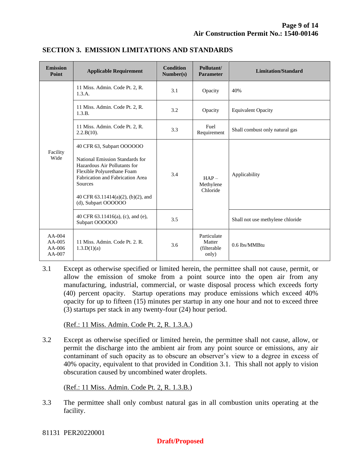| <b>Emission</b><br>Point                     | <b>Applicable Requirement</b>                                                                                                                                                                                                             | <b>Condition</b><br>Number(s) | Pollutant/<br><b>Parameter</b>                | <b>Limitation/Standard</b>       |
|----------------------------------------------|-------------------------------------------------------------------------------------------------------------------------------------------------------------------------------------------------------------------------------------------|-------------------------------|-----------------------------------------------|----------------------------------|
| Facility<br>Wide                             | 11 Miss. Admin. Code Pt. 2, R.<br>1.3.A.                                                                                                                                                                                                  | 3.1                           | Opacity                                       | 40%                              |
|                                              | 11 Miss. Admin. Code Pt. 2, R.<br>1.3.B.                                                                                                                                                                                                  | 3.2                           | Opacity                                       | <b>Equivalent Opacity</b>        |
|                                              | 11 Miss. Admin. Code Pt. 2, R.<br>2.2.B(10).                                                                                                                                                                                              | 3.3                           | Fuel<br>Requirement                           | Shall combust only natural gas   |
|                                              | 40 CFR 63, Subpart OOOOOO<br>National Emission Standards for<br>Hazardous Air Pollutants for<br>Flexible Polyurethane Foam<br>Fabrication and Fabrication Area<br>Sources<br>40 CFR $63.11414(a)(2)$ , (b)(2), and<br>(d), Subpart OOOOOO | 3.4                           | $HAP -$<br>Methylene<br>Chloride              | Applicability                    |
|                                              | 40 CFR 63.11416(a), (c), and (e),<br>Subpart OOOOOO                                                                                                                                                                                       | 3.5                           |                                               | Shall not use methylene chloride |
| $AA-004$<br>$AA-005$<br>$AA-006$<br>$AA-007$ | 11 Miss. Admin. Code Pt. 2. R.<br>1.3.D(1)(a)                                                                                                                                                                                             | 3.6                           | Particulate<br>Matter<br>(filterable<br>only) | 0.6 lbs/MMBtu                    |

#### **SECTION 3. EMISSION LIMITATIONS AND STANDARDS**

3.1 Except as otherwise specified or limited herein, the permittee shall not cause, permit, or allow the emission of smoke from a point source into the open air from any manufacturing, industrial, commercial, or waste disposal process which exceeds forty (40) percent opacity. Startup operations may produce emissions which exceed 40% opacity for up to fifteen (15) minutes per startup in any one hour and not to exceed three (3) startups per stack in any twenty-four (24) hour period.

(Ref.: 11 Miss. Admin. Code Pt. 2, R. 1.3.A.)

3.2 Except as otherwise specified or limited herein, the permittee shall not cause, allow, or permit the discharge into the ambient air from any point source or emissions, any air contaminant of such opacity as to obscure an observer's view to a degree in excess of 40% opacity, equivalent to that provided in Condition 3.1. This shall not apply to vision obscuration caused by uncombined water droplets.

(Ref.: 11 Miss. Admin. Code Pt. 2, R. 1.3.B.)

3.3 The permittee shall only combust natural gas in all combustion units operating at the facility.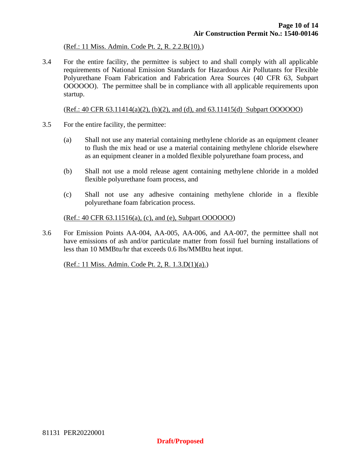(Ref.: 11 Miss. Admin. Code Pt. 2, R. 2.2.B(10).)

3.4 For the entire facility, the permittee is subject to and shall comply with all applicable requirements of National Emission Standards for Hazardous Air Pollutants for Flexible Polyurethane Foam Fabrication and Fabrication Area Sources (40 CFR 63, Subpart OOOOOO). The permittee shall be in compliance with all applicable requirements upon startup.

(Ref.: 40 CFR 63.11414(a)(2), (b)(2), and (d), and 63.11415(d) Subpart OOOOOO)

- 3.5 For the entire facility, the permittee:
	- (a) Shall not use any material containing methylene chloride as an equipment cleaner to flush the mix head or use a material containing methylene chloride elsewhere as an equipment cleaner in a molded flexible polyurethane foam process, and
	- (b) Shall not use a mold release agent containing methylene chloride in a molded flexible polyurethane foam process, and
	- (c) Shall not use any adhesive containing methylene chloride in a flexible polyurethane foam fabrication process.

(Ref.: 40 CFR 63.11516(a), (c), and (e), Subpart OOOOOO)

3.6 For Emission Points AA-004, AA-005, AA-006, and AA-007, the permittee shall not have emissions of ash and/or particulate matter from fossil fuel burning installations of less than 10 MMBtu/hr that exceeds 0.6 lbs/MMBtu heat input.

(Ref.: 11 Miss. Admin. Code Pt. 2, R. 1.3.D(1)(a).)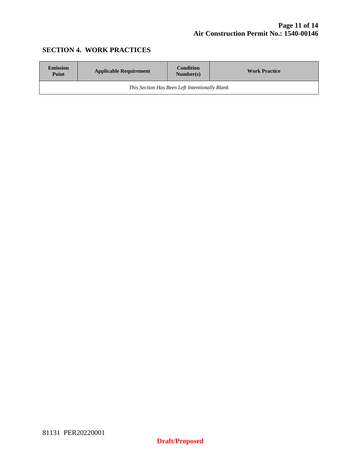### **SECTION 4. WORK PRACTICES**

| <b>Emission</b><br>Point                       | <b>Applicable Requirement</b> | <b>Condition</b><br>Number(s) | <b>Work Practice</b> |  |
|------------------------------------------------|-------------------------------|-------------------------------|----------------------|--|
| This Section Has Been Left Intentionally Blank |                               |                               |                      |  |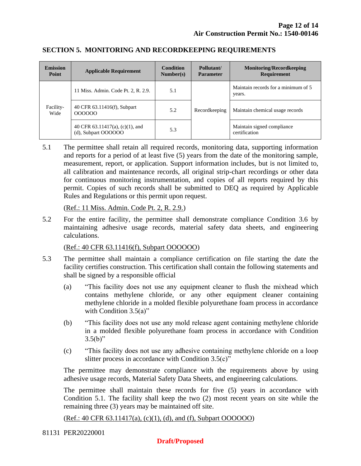| <b>Emission</b><br>Point | <b>Applicable Requirement</b>                          | <b>Condition</b><br>Number(s) | Pollutant/<br><b>Parameter</b> | <b>Monitoring/Recordkeeping</b><br><b>Requirement</b> |
|--------------------------|--------------------------------------------------------|-------------------------------|--------------------------------|-------------------------------------------------------|
| Facility-<br>Wide        | 11 Miss. Admin. Code Pt. 2, R. 2.9.                    | 5.1                           | Recordkeeping                  | Maintain records for a minimum of 5<br>years.         |
|                          | 40 CFR 63.11416(f), Subpart<br>000000                  | 5.2                           |                                | Maintain chemical usage records                       |
|                          | 40 CFR 63.11417(a), (c)(1), and<br>(d), Subpart OOOOOO | 5.3                           |                                | Maintain signed compliance<br>certification           |

#### **SECTION 5. MONITORING AND RECORDKEEPING REQUIREMENTS**

5.1 The permittee shall retain all required records, monitoring data, supporting information and reports for a period of at least five (5) years from the date of the monitoring sample, measurement, report, or application. Support information includes, but is not limited to, all calibration and maintenance records, all original strip-chart recordings or other data for continuous monitoring instrumentation, and copies of all reports required by this permit. Copies of such records shall be submitted to DEQ as required by Applicable Rules and Regulations or this permit upon request.

(Ref.: 11 Miss. Admin. Code Pt. 2, R. 2.9.)

5.2 For the entire facility, the permittee shall demonstrate compliance Condition 3.6 by maintaining adhesive usage records, material safety data sheets, and engineering calculations.

(Ref.: 40 CFR 63.11416(f), Subpart OOOOOO)

- 5.3 The permittee shall maintain a compliance certification on file starting the date the facility certifies construction. This certification shall contain the following statements and shall be signed by a responsible official
	- (a) "This facility does not use any equipment cleaner to flush the mixhead which contains methylene chloride, or any other equipment cleaner containing methylene chloride in a molded flexible polyurethane foam process in accordance with Condition 3.5(a)"
	- (b) "This facility does not use any mold release agent containing methylene chloride in a molded flexible polyurethane foam process in accordance with Condition  $3.5(b)$ "
	- (c) "This facility does not use any adhesive containing methylene chloride on a loop slitter process in accordance with Condition 3.5(c)"

The permittee may demonstrate compliance with the requirements above by using adhesive usage records, Material Safety Data Sheets, and engineering calculations.

The permittee shall maintain these records for five (5) years in accordance with Condition 5.1. The facility shall keep the two (2) most recent years on site while the remaining three (3) years may be maintained off site.

(Ref.: 40 CFR 63.11417(a), (c)(1), (d), and (f), Subpart OOOOOO)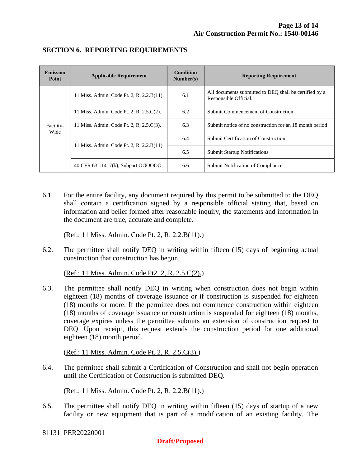| <b>Emission</b><br>Point | <b>Applicable Requirement</b>             | <b>Condition</b><br>Number(s) | <b>Reporting Requirement</b>                                                    |  |
|--------------------------|-------------------------------------------|-------------------------------|---------------------------------------------------------------------------------|--|
| Facility-<br>Wide        | 11 Miss. Admin. Code Pt. 2, R. 2.2.B(11). | 6.1                           | All documents submitted to DEO shall be certified by a<br>Responsible Official. |  |
|                          | 11 Miss. Admin. Code Pt. 2, R. 2.5.C(2).  | 6.2                           | Submit Commencement of Construction                                             |  |
|                          | 11 Miss. Admin. Code Pt. 2, R, 2.5.C(3).  | 6.3                           | Submit notice of no construction for an 18 month period                         |  |
|                          | 11 Miss. Admin. Code Pt. 2, R. 2.2.B(11). | 6.4                           | Submit Certification of Construction                                            |  |
|                          |                                           | 6.5                           | <b>Submit Startup Notifications</b>                                             |  |
|                          | 40 CFR 63.11417(b), Subpart OOOOOO        | 6.6                           | Submit Notification of Compliance                                               |  |

#### **SECTION 6. REPORTING REQUIREMENTS**

6.1. For the entire facility, any document required by this permit to be submitted to the DEQ shall contain a certification signed by a responsible official stating that, based on information and belief formed after reasonable inquiry, the statements and information in the document are true, accurate and complete.

(Ref.: 11 Miss. Admin. Code Pt. 2, R. 2.2.B(11).)

6.2. The permittee shall notify DEQ in writing within fifteen (15) days of beginning actual construction that construction has begun.

(Ref.: 11 Miss. Admin. Code Pt2. 2, R. 2.5.C(2).)

6.3. The permittee shall notify DEQ in writing when construction does not begin within eighteen (18) months of coverage issuance or if construction is suspended for eighteen (18) months or more. If the permittee does not commence construction within eighteen (18) months of coverage issuance or construction is suspended for eighteen (18) months, coverage expires unless the permittee submits an extension of construction request to DEQ. Upon receipt, this request extends the construction period for one additional eighteen (18) month period.

(Ref.: 11 Miss. Admin. Code Pt. 2, R. 2.5.C(3).)

6.4. The permittee shall submit a Certification of Construction and shall not begin operation until the Certification of Construction is submitted DEQ.

(Ref.: 11 Miss. Admin. Code Pt. 2, R. 2.2.B(11).)

6.5. The permittee shall notify DEQ in writing within fifteen (15) days of startup of a new facility or new equipment that is part of a modification of an existing facility. The